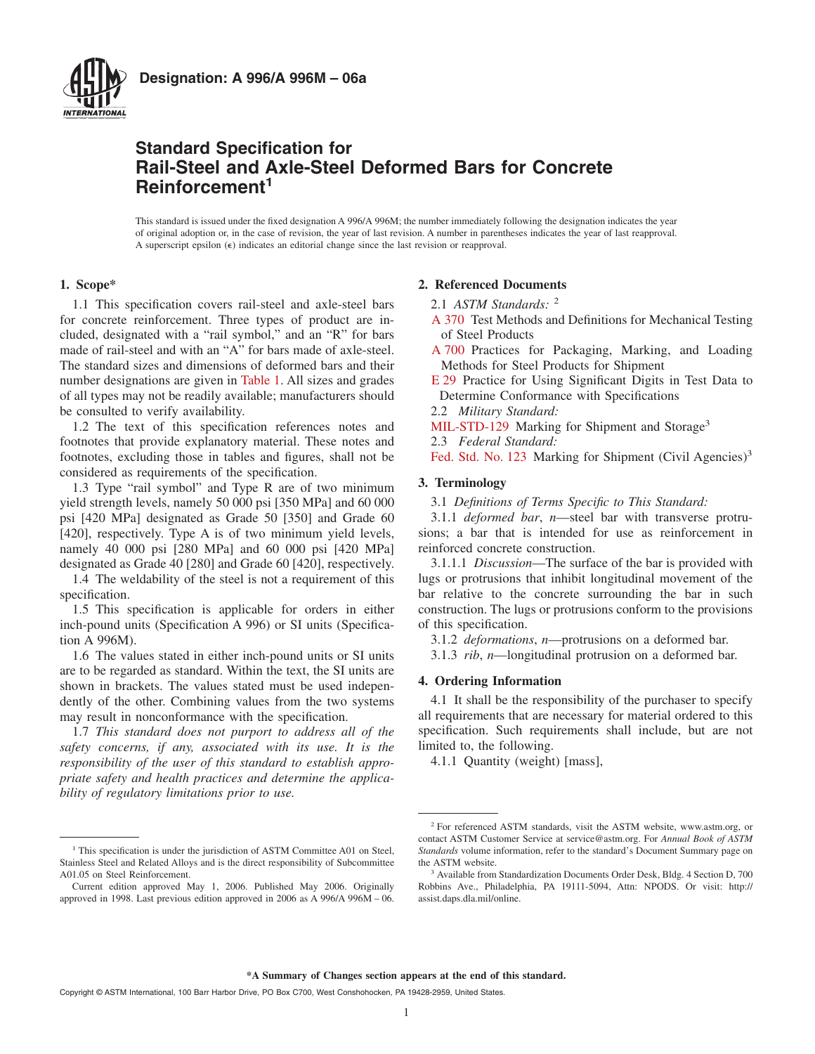

# **Standard Specification for Rail-Steel and Axle-Steel Deformed Bars for Concrete Reinforcement<sup>1</sup>**

This standard is issued under the fixed designation A 996/A 996M; the number immediately following the designation indicates the year of original adoption or, in the case of revision, the year of last revision. A number in parentheses indicates the year of last reapproval. A superscript epsilon  $(\epsilon)$  indicates an editorial change since the last revision or reapproval.

## **1. Scope\***

1.1 This specification covers rail-steel and axle-steel bars for concrete reinforcement. Three types of product are included, designated with a "rail symbol," and an "R" for bars made of rail-steel and with an "A" for bars made of axle-steel. The standard sizes and dimensions of deformed bars and their number designations are given in [Table 1.](#page-1-0) All sizes and grades of all types may not be readily available; manufacturers should be consulted to verify availability.

1.2 The text of this specification references notes and footnotes that provide explanatory material. These notes and footnotes, excluding those in tables and figures, shall not be considered as requirements of the specification.

1.3 Type "rail symbol" and Type R are of two minimum yield strength levels, namely 50 000 psi [350 MPa] and 60 000 psi [420 MPa] designated as Grade 50 [350] and Grade 60 [420], respectively. Type A is of two minimum yield levels, namely 40 000 psi [280 MPa] and 60 000 psi [420 MPa] designated as Grade 40 [280] and Grade 60 [420], respectively.

1.4 The weldability of the steel is not a requirement of this specification.

1.5 This specification is applicable for orders in either inch-pound units (Specification A 996) or SI units (Specification A 996M).

1.6 The values stated in either inch-pound units or SI units are to be regarded as standard. Within the text, the SI units are shown in brackets. The values stated must be used independently of the other. Combining values from the two systems may result in nonconformance with the specification.

1.7 *This standard does not purport to address all of the safety concerns, if any, associated with its use. It is the responsibility of the user of this standard to establish appropriate safety and health practices and determine the applicability of regulatory limitations prior to use.*

## <span id="page-0-1"></span>**2. Referenced Documents**

- 2.1 *ASTM Standards:* <sup>2</sup>
- [A 370](#page-2-0) Test Methods and Definitions for Mechanical Testing of Steel Products
- <span id="page-0-2"></span>[A 700](#page-3-0) Practices for Packaging, Marking, and Loading Methods for Steel Products for Shipment
- <span id="page-0-0"></span>[E 29](#page-2-1) Practice for Using Significant Digits in Test Data to Determine Conformance with Specifications
- <span id="page-0-5"></span><span id="page-0-3"></span>2.2 *Military Standard:*
- [MIL-STD-129](#page-3-1) Marking for Shipment and Storage<sup>3</sup>
- 2.3 *Federal Standard:*
- <span id="page-0-4"></span>[Fed. Std. No. 123](#page-3-1) Marking for Shipment (Civil Agencies)<sup>3</sup>

### **3. Terminology**

3.1 *Definitions of Terms Specific to This Standard:*

<span id="page-0-6"></span>3.1.1 *deformed bar*, *n*—steel bar with transverse protrusions; a bar that is intended for use as reinforcement in reinforced concrete construction.

3.1.1.1 *Discussion*—The surface of the bar is provided with lugs or protrusions that inhibit longitudinal movement of the bar relative to the concrete surrounding the bar in such construction. The lugs or protrusions conform to the provisions of this specification.

3.1.2 *deformations*, *n*—protrusions on a deformed bar.

3.1.3 *rib*, *n*—longitudinal protrusion on a deformed bar.

### **4. Ordering Information**

4.1 It shall be the responsibility of the purchaser to specify all requirements that are necessary for material ordered to this specification. Such requirements shall include, but are not limited to, the following.

4.1.1 Quantity (weight) [mass],

#### **\*A Summary of Changes section appears at the end of this standard.**

<sup>&</sup>lt;sup>1</sup> This specification is under the jurisdiction of ASTM Committee A01 on Steel, Stainless Steel and Related Alloys and is the direct responsibility of Subcommittee A01.05 on Steel Reinforcement.

Current edition approved May 1, 2006. Published May 2006. Originally approved in 1998. Last previous edition approved in 2006 as A 996/A 996M – 06.

<sup>2</sup> For referenced ASTM standards, visit the ASTM website, www.astm.org, or contact ASTM Customer Service at service@astm.org. For *Annual Book of ASTM Standards* volume information, refer to the standard's Document Summary page on the ASTM website.

<sup>3</sup> Available from Standardization Documents Order Desk, Bldg. 4 Section D, 700 Robbins Ave., Philadelphia, PA 19111-5094, Attn: NPODS. Or visit: http:// assist.daps.dla.mil/online.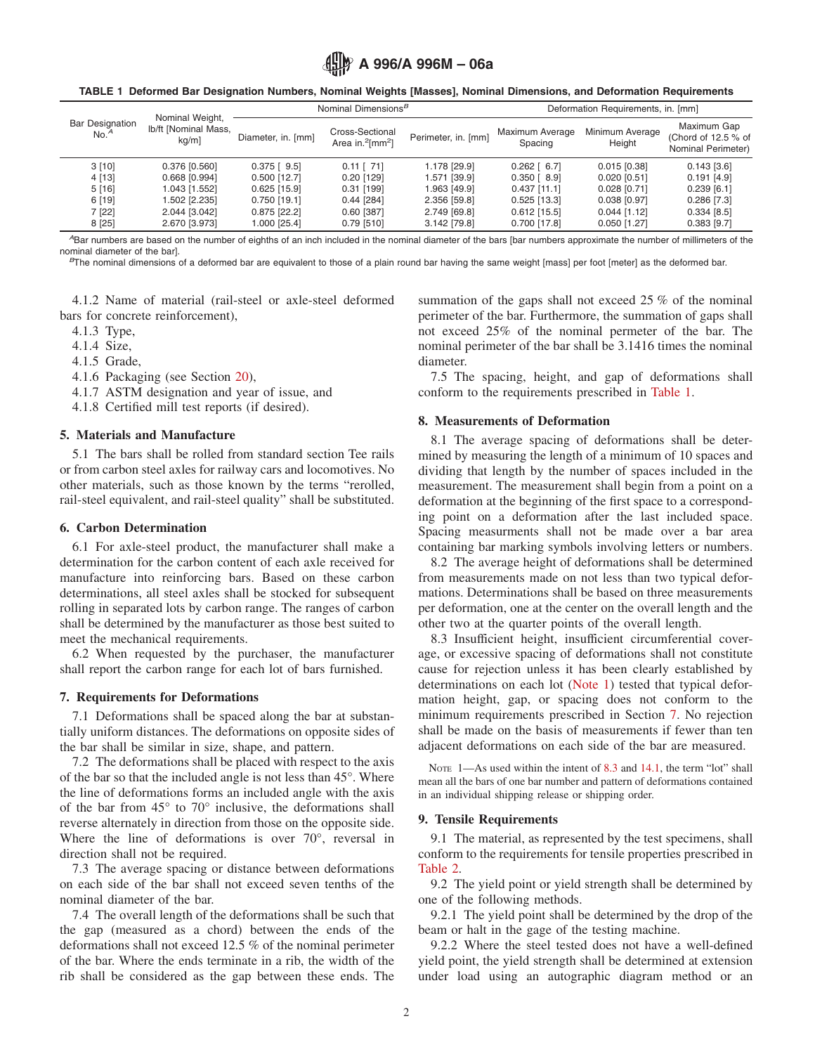# **A 996/A 996M – 06a**

**TABLE 1 Deformed Bar Designation Numbers, Nominal Weights [Masses], Nominal Dimensions, and Deformation Requirements**

| <b>Bar Designation</b><br>No. <sup>A</sup> | Nominal Weight,<br>Ib/ft [Nominal Mass,<br>kg/m] | Nominal Dimensions <sup>B</sup> |                                                 |                     | Deformation Requirements, in. [mm] |                           |                                                           |
|--------------------------------------------|--------------------------------------------------|---------------------------------|-------------------------------------------------|---------------------|------------------------------------|---------------------------|-----------------------------------------------------------|
|                                            |                                                  | Diameter, in. [mm]              | Cross-Sectional<br>Area in. $^{2}$ [mm $^{2}$ ] | Perimeter, in. [mm] | Maximum Average<br>Spacing         | Minimum Average<br>Height | Maximum Gap<br>(Chord of $12.5%$ of<br>Nominal Perimeter) |
| 3[10]                                      | 0.376 [0.560]                                    | $0.375$ [ $9.5$ ]               | $0.11$ [ $71$ ]                                 | 1.178 [29.9]        | $0.262$ [ 6.7]                     | $0.015$ $[0.38]$          | $0.143$ [3.6]                                             |
| 4 [13]                                     | 0.668 [0.994]                                    | 0.500 [12.7]                    | $0.20$ [129]                                    | 1.571 [39.9]        | $0.350$ [ $8.9$ ]                  | 0.020 [0.51]              | $0.191$ [4.9]                                             |
| 5[16]                                      | 1.043 [1.552]                                    | $0.625$ [15.9]                  | $0.31$ [199]                                    | 1.963 [49.9]        | $0.437$ [11.1]                     | $0.028$ [0.71]            | $0.239$ [6.1]                                             |
| 6[19]                                      | 1.502 [2.235]                                    | $0.750$ [19.1]                  | $0.44$ [284]                                    | 2.356 [59.8]        | $0.525$ [13.3]                     | $0.038$ [0.97]            | $0.286$ [7.3]                                             |
| 7 [22]                                     | 2.044 [3.042]                                    | $0.875$ [22.2]                  | $0.60$ [387]                                    | 2.749 [69.8]        | $0.612$ [15.5]                     | $0.044$ [1.12]            | $0.334$ [8.5]                                             |
| 8[25]                                      | 2.670 [3.973]                                    | 1.000 [25.4]                    | $0.79$ [510]                                    | 3.142 [79.8]        | 0.700 [17.8]                       | $0.050$ [1.27]            | $0.383$ [9.7]                                             |

*<sup>A</sup>*Bar numbers are based on the number of eighths of an inch included in the nominal diameter of the bars [bar numbers approximate the number of millimeters of the nominal diameter of the bar].<br><sup>B</sup>The nominal dimensions of a deformed bar are equivalent to those of a plain round bar having the same weight [mass] per foot [meter] as the deformed bar.

4.1.2 Name of material (rail-steel or axle-steel deformed bars for concrete reinforcement),

4.1.3 Type,

4.1.4 Size,

4.1.5 Grade,

4.1.6 Packaging (see Section [20\)](#page-3-2),

4.1.7 ASTM designation and year of issue, and

4.1.8 Certified mill test reports (if desired).

#### **5. Materials and Manufacture**

5.1 The bars shall be rolled from standard section Tee rails or from carbon steel axles for railway cars and locomotives. No other materials, such as those known by the terms "rerolled, rail-steel equivalent, and rail-steel quality" shall be substituted.

#### **6. Carbon Determination**

6.1 For axle-steel product, the manufacturer shall make a determination for the carbon content of each axle received for manufacture into reinforcing bars. Based on these carbon determinations, all steel axles shall be stocked for subsequent rolling in separated lots by carbon range. The ranges of carbon shall be determined by the manufacturer as those best suited to meet the mechanical requirements.

6.2 When requested by the purchaser, the manufacturer shall report the carbon range for each lot of bars furnished.

#### **7. Requirements for Deformations**

7.1 Deformations shall be spaced along the bar at substantially uniform distances. The deformations on opposite sides of the bar shall be similar in size, shape, and pattern.

7.2 The deformations shall be placed with respect to the axis of the bar so that the included angle is not less than 45°. Where the line of deformations forms an included angle with the axis of the bar from  $45^{\circ}$  to  $70^{\circ}$  inclusive, the deformations shall reverse alternately in direction from those on the opposite side. Where the line of deformations is over 70°, reversal in direction shall not be required.

7.3 The average spacing or distance between deformations on each side of the bar shall not exceed seven tenths of the nominal diameter of the bar.

7.4 The overall length of the deformations shall be such that the gap (measured as a chord) between the ends of the deformations shall not exceed 12.5 % of the nominal perimeter of the bar. Where the ends terminate in a rib, the width of the rib shall be considered as the gap between these ends. The <span id="page-1-0"></span>summation of the gaps shall not exceed 25 % of the nominal perimeter of the bar. Furthermore, the summation of gaps shall not exceed 25% of the nominal permeter of the bar. The nominal perimeter of the bar shall be 3.1416 times the nominal diameter.

7.5 The spacing, height, and gap of deformations shall conform to the requirements prescribed in [Table 1.](#page-1-0)

#### **8. Measurements of Deformation**

8.1 The average spacing of deformations shall be determined by measuring the length of a minimum of 10 spaces and dividing that length by the number of spaces included in the measurement. The measurement shall begin from a point on a deformation at the beginning of the first space to a corresponding point on a deformation after the last included space. Spacing measurments shall not be made over a bar area containing bar marking symbols involving letters or numbers.

8.2 The average height of deformations shall be determined from measurements made on not less than two typical deformations. Determinations shall be based on three measurements per deformation, one at the center on the overall length and the other two at the quarter points of the overall length.

<span id="page-1-2"></span>8.3 Insufficient height, insufficient circumferential coverage, or excessive spacing of deformations shall not constitute cause for rejection unless it has been clearly established by determinations on each lot [\(Note 1\)](#page-1-1) tested that typical deformation height, gap, or spacing does not conform to the minimum requirements prescribed in Section 7. No rejection shall be made on the basis of measurements if fewer than ten adjacent deformations on each side of the bar are measured.

<span id="page-1-1"></span>NOTE 1—As used within the intent of [8.3](#page-1-2) and [14.1,](#page-2-2) the term "lot" shall mean all the bars of one bar number and pattern of deformations contained in an individual shipping release or shipping order.

#### **9. Tensile Requirements**

9.1 The material, as represented by the test specimens, shall conform to the requirements for tensile properties prescribed in [Table 2.](#page-2-3)

<span id="page-1-3"></span>9.2 The yield point or yield strength shall be determined by one of the following methods.

9.2.1 The yield point shall be determined by the drop of the beam or halt in the gage of the testing machine.

9.2.2 Where the steel tested does not have a well-defined yield point, the yield strength shall be determined at extension under load using an autographic diagram method or an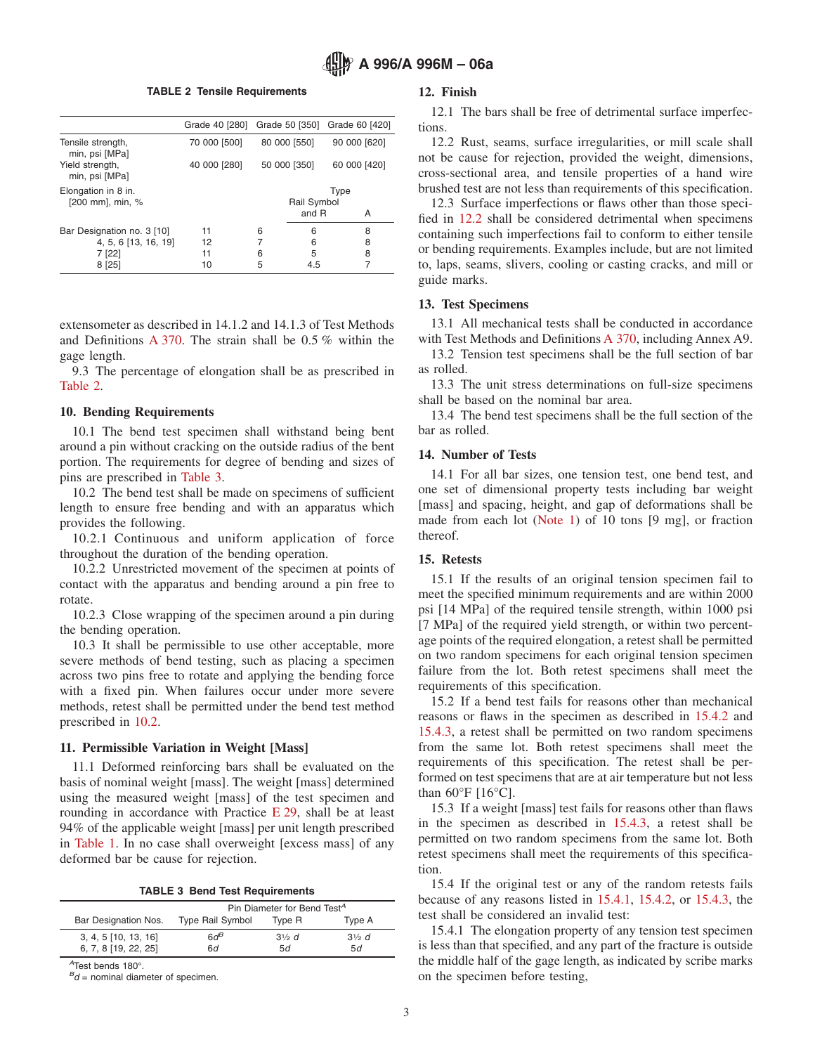# **A 996/A 996M – 06a**

**TABLE 2 Tensile Requirements**

|                                         | Grade 40 [280] Grade 50 [350] |                     |       | Grade 60 [420] |
|-----------------------------------------|-------------------------------|---------------------|-------|----------------|
| Tensile strength,<br>min, psi [MPa]     | 70 000 [500]                  | 80 000 [550]        |       | 90 000 [620]   |
| Yield strength,<br>min, psi [MPa]       | 40 000 [280]                  | 50 000 [350]        |       | 60 000 [420]   |
| Elongation in 8 in.<br>[200 mm], min, % |                               | Type<br>Rail Symbol |       |                |
|                                         |                               |                     | and R | A              |
| Bar Designation no. 3 [10]              | 11                            | 6                   | 6     | 8              |
| 4, 5, 6 [13, 16, 19]                    | 12                            |                     | 6     | 8              |
| 7 [22]                                  | 11                            | 6                   | 5     | 8              |
| 8 [25]                                  | 10                            | 5                   | 4.5   |                |

extensometer as described in 14.1.2 and 14.1.3 of Test Methods and Definitions [A 370.](#page-2-4) The strain shall be 0.5 % within the gage length.

9.3 The percentage of elongation shall be as prescribed in [Table 2.](#page-2-3)

#### **10. Bending Requirements**

10.1 The bend test specimen shall withstand being bent around a pin without cracking on the outside radius of the bent portion. The requirements for degree of bending and sizes of pins are prescribed in [Table 3.](#page-2-5)

10.2 The bend test shall be made on specimens of sufficient length to ensure free bending and with an apparatus which provides the following.

10.2.1 Continuous and uniform application of force throughout the duration of the bending operation.

10.2.2 Unrestricted movement of the specimen at points of contact with the apparatus and bending around a pin free to rotate.

10.2.3 Close wrapping of the specimen around a pin during the bending operation.

10.3 It shall be permissible to use other acceptable, more severe methods of bend testing, such as placing a specimen across two pins free to rotate and applying the bending force with a fixed pin. When failures occur under more severe methods, retest shall be permitted under the bend test method prescribed in [10.2.](#page-2-6)

#### **11. Permissible Variation in Weight [Mass]**

11.1 Deformed reinforcing bars shall be evaluated on the basis of nominal weight [mass]. The weight [mass] determined using the measured weight [mass] of the test specimen and rounding in accordance with Practice  $E$  29, shall be at least 94% of the applicable weight [mass] per unit length prescribed in [Table 1.](#page-1-0) In no case shall overweight [excess mass] of any deformed bar be cause for rejection.

**TABLE 3 Bend Test Requirements**

|                               | Pin Diameter for Bend Test <sup>A</sup> |                  |                  |  |  |
|-------------------------------|-----------------------------------------|------------------|------------------|--|--|
| <b>Bar Designation Nos.</b>   | <b>Type Rail Symbol</b>                 | Type R           | Type A           |  |  |
| $3, 4, 5$ [10, 13, 16]        | $6d^B$                                  | $3\frac{1}{2} d$ | $3\frac{1}{2}$ d |  |  |
| 6, 7, 8 [19, 22, 25]          | 6d                                      | 5d               | 5d               |  |  |
| $A$ Toot bondo 100 $^{\circ}$ |                                         |                  |                  |  |  |

*<sup>A</sup>*Test bends 180°.

 $B_d$  = nominal diameter of specimen.

#### <span id="page-2-3"></span>**12. Finish**

12.1 The bars shall be free of detrimental surface imperfections.

<span id="page-2-7"></span>12.2 Rust, seams, surface irregularities, or mill scale shall not be cause for rejection, provided the weight, dimensions, cross-sectional area, and tensile properties of a hand wire brushed test are not less than requirements of this specification.

12.3 Surface imperfections or flaws other than those specified in [12.2](#page-2-7) shall be considered detrimental when specimens containing such imperfections fail to conform to either tensile or bending requirements. Examples include, but are not limited to, laps, seams, slivers, cooling or casting cracks, and mill or guide marks.

#### **13. Test Specimens**

<span id="page-2-4"></span><span id="page-2-0"></span>13.1 All mechanical tests shall be conducted in accordance with Test Methods and Definitions [A 370,](#page-0-1) including Annex A9.

13.2 Tension test specimens shall be the full section of bar as rolled.

13.3 The unit stress determinations on full-size specimens shall be based on the nominal bar area.

13.4 The bend test specimens shall be the full section of the bar as rolled.

#### **14. Number of Tests**

<span id="page-2-6"></span><span id="page-2-2"></span>14.1 For all bar sizes, one tension test, one bend test, and one set of dimensional property tests including bar weight [mass] and spacing, height, and gap of deformations shall be made from each lot [\(Note 1\)](#page-1-1) of 10 tons [9 mg], or fraction thereof.

#### <span id="page-2-10"></span>**15. Retests**

15.1 If the results of an original tension specimen fail to meet the specified minimum requirements and are within 2000 psi [14 MPa] of the required tensile strength, within 1000 psi [7 MPa] of the required yield strength, or within two percentage points of the required elongation, a retest shall be permitted on two random specimens for each original tension specimen failure from the lot. Both retest specimens shall meet the requirements of this specification.

15.2 If a bend test fails for reasons other than mechanical reasons or flaws in the specimen as described in [15.4.2](#page-3-3) and [15.4.3,](#page-3-4) a retest shall be permitted on two random specimens from the same lot. Both retest specimens shall meet the requirements of this specification. The retest shall be performed on test specimens that are at air temperature but not less than 60°F [16°C].

<span id="page-2-1"></span>15.3 If a weight [mass] test fails for reasons other than flaws in the specimen as described in [15.4.3,](#page-3-4) a retest shall be permitted on two random specimens from the same lot. Both retest specimens shall meet the requirements of this specification.

<span id="page-2-9"></span><span id="page-2-5"></span>15.4 If the original test or any of the random retests fails because of any reasons listed in [15.4.1,](#page-2-8) [15.4.2,](#page-3-3) or [15.4.3,](#page-3-4) the test shall be considered an invalid test:

<span id="page-2-8"></span>15.4.1 The elongation property of any tension test specimen is less than that specified, and any part of the fracture is outside the middle half of the gage length, as indicated by scribe marks on the specimen before testing,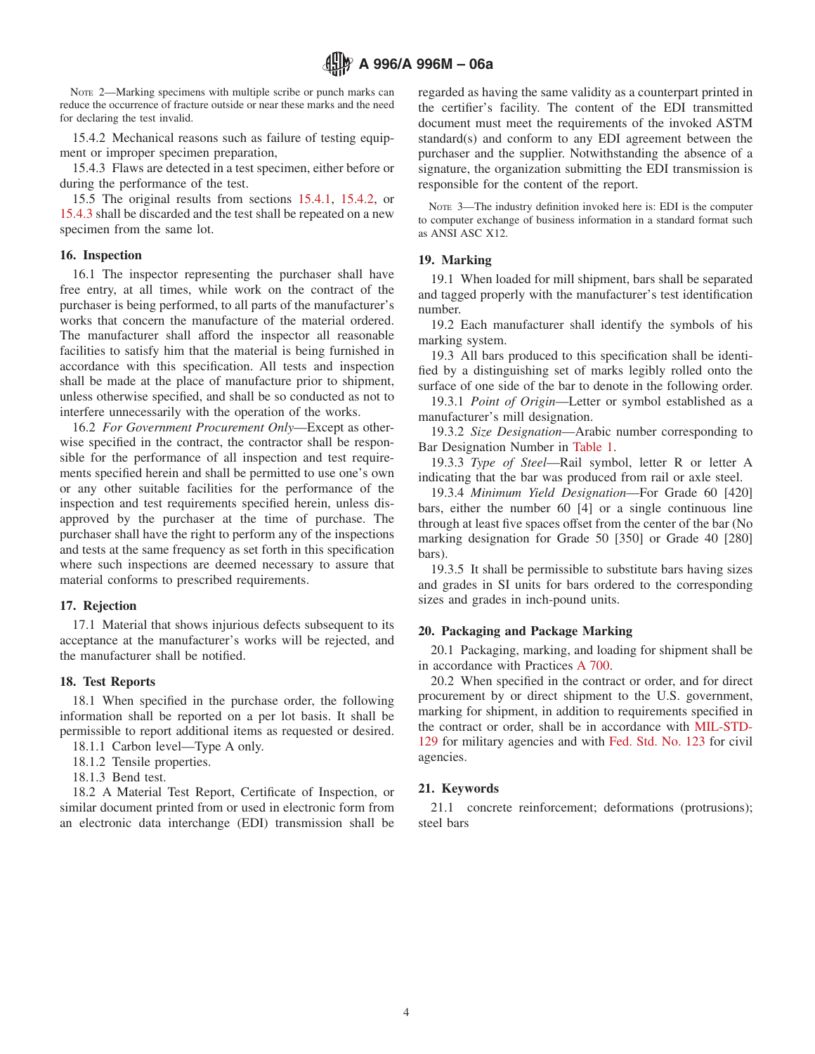NOTE 2—Marking specimens with multiple scribe or punch marks can reduce the occurrence of fracture outside or near these marks and the need for declaring the test invalid.

15.4.2 Mechanical reasons such as failure of testing equipment or improper specimen preparation,

15.4.3 Flaws are detected in a test specimen, either before or during the performance of the test.

15.5 The original results from sections [15.4.1,](#page-2-8) [15.4.2,](#page-3-3) or [15.4.3](#page-3-4) shall be discarded and the test shall be repeated on a new specimen from the same lot.

#### **16. Inspection**

16.1 The inspector representing the purchaser shall have free entry, at all times, while work on the contract of the purchaser is being performed, to all parts of the manufacturer's works that concern the manufacture of the material ordered. The manufacturer shall afford the inspector all reasonable facilities to satisfy him that the material is being furnished in accordance with this specification. All tests and inspection shall be made at the place of manufacture prior to shipment, unless otherwise specified, and shall be so conducted as not to interfere unnecessarily with the operation of the works.

16.2 *For Government Procurement Only*—Except as otherwise specified in the contract, the contractor shall be responsible for the performance of all inspection and test requirements specified herein and shall be permitted to use one's own or any other suitable facilities for the performance of the inspection and test requirements specified herein, unless disapproved by the purchaser at the time of purchase. The purchaser shall have the right to perform any of the inspections and tests at the same frequency as set forth in this specification where such inspections are deemed necessary to assure that material conforms to prescribed requirements.

#### **17. Rejection**

17.1 Material that shows injurious defects subsequent to its acceptance at the manufacturer's works will be rejected, and the manufacturer shall be notified.

#### **18. Test Reports**

18.1 When specified in the purchase order, the following information shall be reported on a per lot basis. It shall be permissible to report additional items as requested or desired.

18.1.1 Carbon level—Type A only.

18.1.2 Tensile properties.

18.1.3 Bend test.

18.2 A Material Test Report, Certificate of Inspection, or similar document printed from or used in electronic form from an electronic data interchange (EDI) transmission shall be <span id="page-3-3"></span>regarded as having the same validity as a counterpart printed in the certifier's facility. The content of the EDI transmitted document must meet the requirements of the invoked ASTM standard(s) and conform to any EDI agreement between the purchaser and the supplier. Notwithstanding the absence of a signature, the organization submitting the EDI transmission is responsible for the content of the report.

<span id="page-3-5"></span><span id="page-3-4"></span>NOTE 3—The industry definition invoked here is: EDI is the computer to computer exchange of business information in a standard format such as ANSI ASC X12.

### **19. Marking**

19.1 When loaded for mill shipment, bars shall be separated and tagged properly with the manufacturer's test identification number.

19.2 Each manufacturer shall identify the symbols of his marking system.

19.3 All bars produced to this specification shall be identified by a distinguishing set of marks legibly rolled onto the surface of one side of the bar to denote in the following order.

19.3.1 *Point of Origin*—Letter or symbol established as a manufacturer's mill designation.

19.3.2 *Size Designation*—Arabic number corresponding to Bar Designation Number in [Table 1.](#page-1-0)

19.3.3 *Type of Steel*—Rail symbol, letter R or letter A indicating that the bar was produced from rail or axle steel.

19.3.4 *Minimum Yield Designation*—For Grade 60 [420] bars, either the number 60 [4] or a single continuous line through at least five spaces offset from the center of the bar (No marking designation for Grade 50 [350] or Grade 40 [280] bars).

19.3.5 It shall be permissible to substitute bars having sizes and grades in SI units for bars ordered to the corresponding sizes and grades in inch-pound units.

#### <span id="page-3-2"></span>**20. Packaging and Package Marking**

<span id="page-3-0"></span>20.1 Packaging, marking, and loading for shipment shall be in accordance with Practices [A 700.](#page-0-2)

<span id="page-3-1"></span>20.2 When specified in the contract or order, and for direct procurement by or direct shipment to the U.S. government, marking for shipment, in addition to requirements specified in the contract or order, shall be in accordance with [MIL-STD-](#page-0-3)[129](#page-0-3) for military agencies and with [Fed. Std. No. 123](#page-0-4) for civil agencies.

#### **21. Keywords**

21.1 concrete reinforcement; deformations (protrusions); steel bars